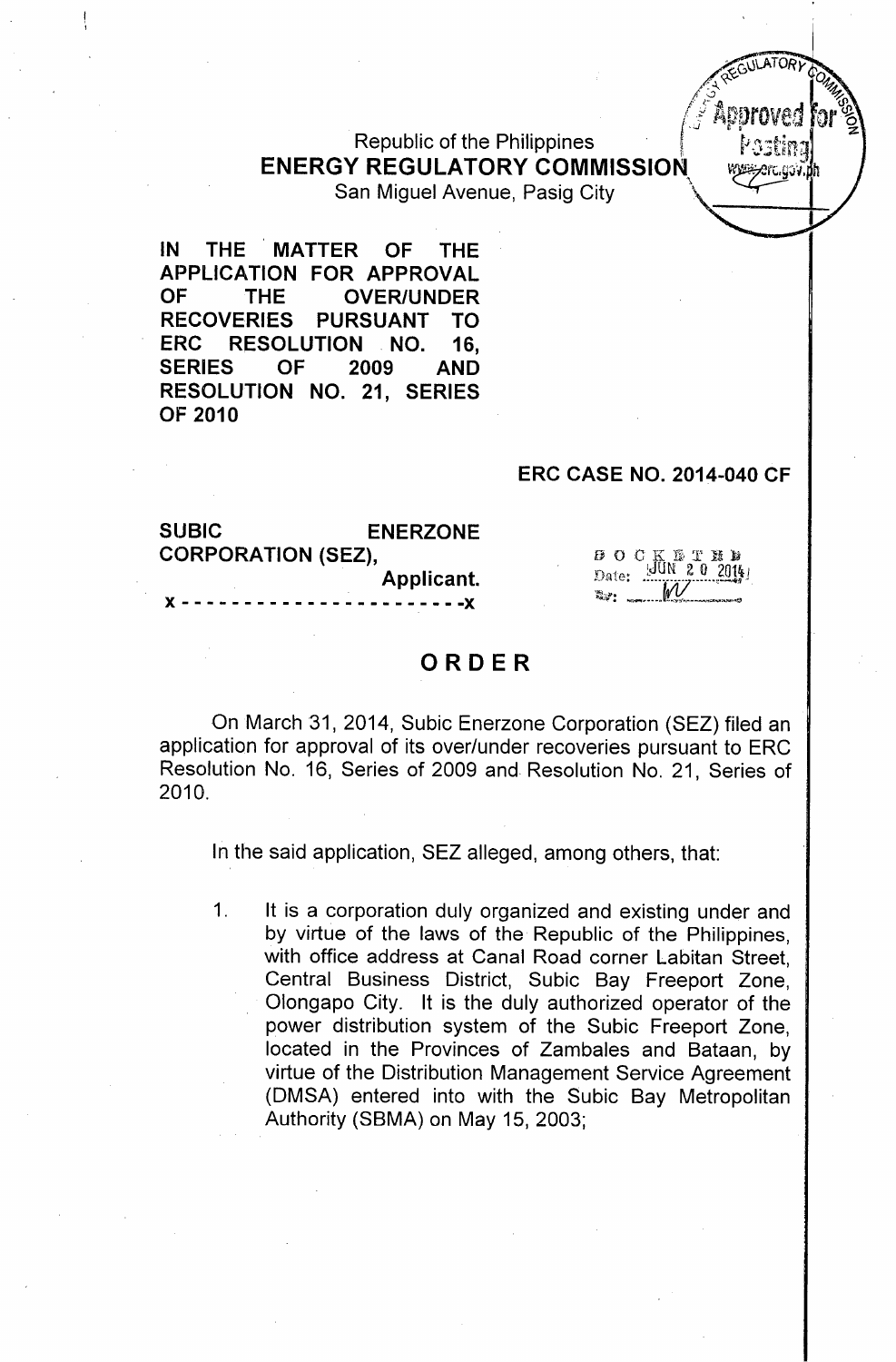**Republic of the Philippines ENERGY REGULATORY COMMISSION** San Miguel Avenue, Pasig City ,

IN THE MATTER OF THE APPLICATION FOR APPROVAL OF THE OVER/UNDER RECOVERIES PURSUANT TO ERC RESOLUTION NO. 16, SERIES OF 2009 AND RESOLUTION NO. 21, SERIES OF 2010

#### ERC CASE NO. 2014-040 CF

 $ATOS$ *,:..\.. ~ ~01~~ /.-:J .~*  $\sqrt{\frac{3}{2}}$  Approved to

la skalate la 3

 $\mathcal{C}^{\mathcal{C}}$ 

| <b>SUBIC</b>                      | <b>ENERZONE</b> |  |
|-----------------------------------|-----------------|--|
| <b>CORPORATION (SEZ),</b>         |                 |  |
|                                   | Applicant.      |  |
| X ---------------------- <b>X</b> |                 |  |

 $\begin{array}{cc}\n\mathbf{B} & \mathbf{O} & \mathbf{C} & \mathbf{K} & \mathbf{B} & \mathbf{T} & \mathbf{M} \\
\mathbf{D}_{\text{data}} & \mathbf{G} & \mathbf{M} & \mathbf{M} & \mathbf{M}\n\end{array}$  $\mathbf{Data}$ 

## ORDER

On March 31, 2014, Subic Enerzone Corporation (SEZ) filed an application for approval of its over/under recoveries pursuant to ERC Resolution No. 16, Series of 2009 and Resolution No. 21, Series of 2010.

In the said application, SEZ alleged, among others, that:

1. It is a corporation duly organized and existing under and by virtue of the laws of the Republic of the Philippines, with office address at Canal Road corner Labitan Street, Central Business District, Subic Bay Freeport Zone, Olongapo City. It is the duly authorized operator of the power distribution system of the Subic Freeport Zone, located in the Provinces of Zambales and Bataan, by virtue of the Distribution Management Service Agreement (DMSA) entered into with the Subic Bay Metropolitan Authority (SBMA) on May 15, 2003;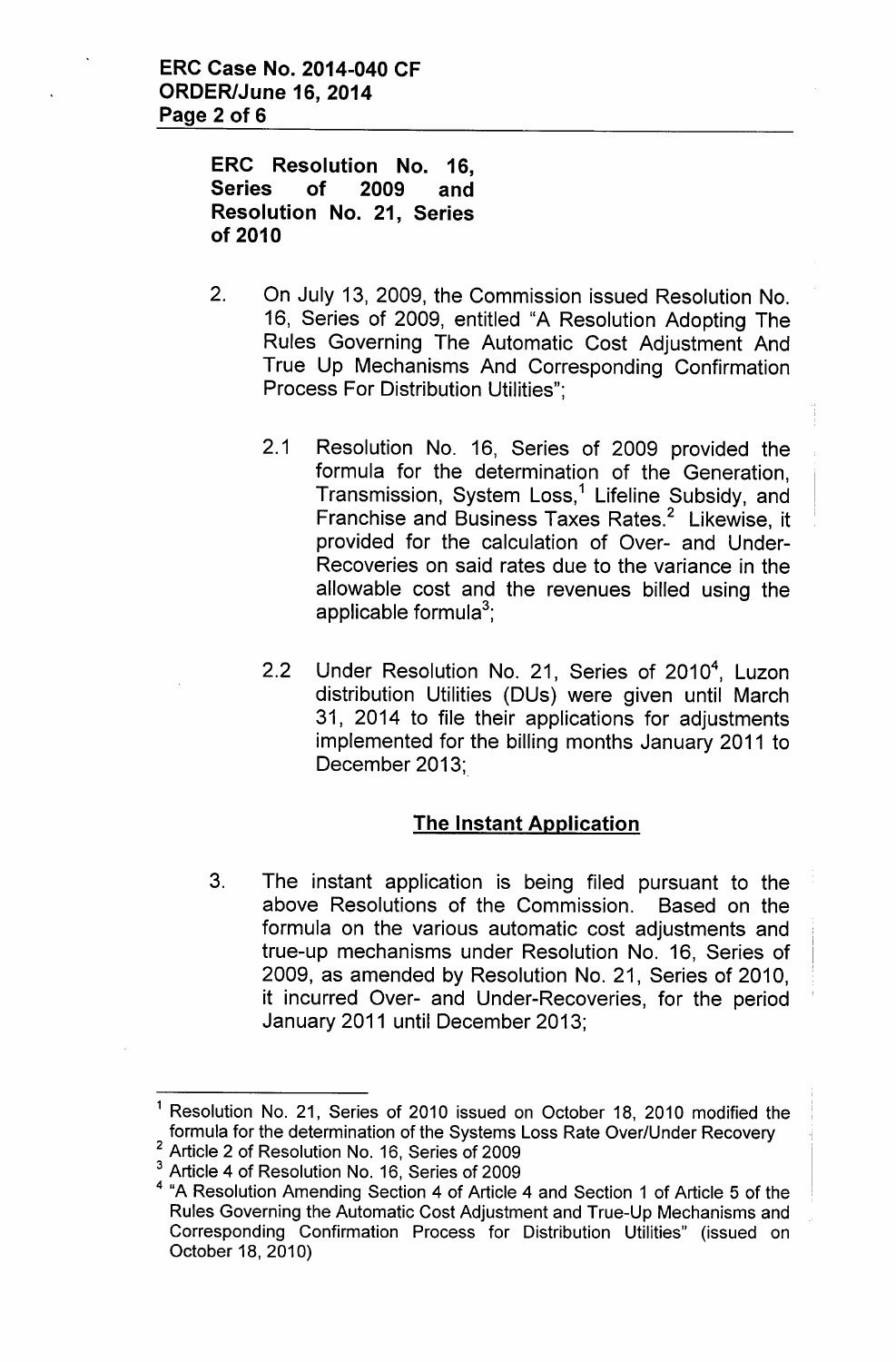**ERC Resolution No. 16, Series of 2009 and Resolution No. 21, Series of 2010**

- 2. On July 13, 2009, the Commission issued Resolution No. 16, Series of 2009, entitled "A Resolution Adopting The Rules Governing The Automatic Cost Adjustment And True Up Mechanisms And Corresponding Confirmation Process For Distribution Utilities";
	- 2.1 Resolution No. 16, Series of 2009 provided the formula for the determination of the Generation, Transmission, System Loss,<sup>1</sup> Lifeline Subsidy, and Franchise and Business Taxes Rates.<sup>2</sup> Likewise, it provided for the calculation of Over- and Under-Recoveries on said rates due to the variance in the allowable cost and the revenues billed using the applicable formula $^3$
	- 2.2 Under Resolution No. 21, Series of 2010<sup>4</sup>, Luzon distribution Utilities (DUs) were given until March 31, 2014 to file their applications for adjustments implemented for the billing months January 2011 to December 2013;

# **The Instant Application**

3. The instant application is being filed pursuant to the above Resolutions of the Commission. Based on the formula on the various automatic cost adjustments and true-up mechanisms under Resolution No. 16, Series of 2009, as amended by Resolution No. 21, Series of 2010, it incurred Over- and Under-Recoveries, for the period January 2011 until December 2013;

<sup>&</sup>lt;sup>1</sup> Resolution No. 21, Series of 2010 issued on October 18, 2010 modified the formula for the determination of the Systems Loss Rate Over/Under Recovery 2 Article 2 of Resolution No. 16, Series of 2009

<sup>&</sup>lt;sup>3</sup> Article 4 of Resolution No. 16, Series of 2009

<sup>4</sup> "A Resolution Amending Section 4 of Article 4 and Section 1 of Article 5 of the Rules Governing the Automatic Cost Adjustment and True-Up Mechanisms and Corresponding Confirmation Process for Distribution Utilities" (issued on October 18, 2010)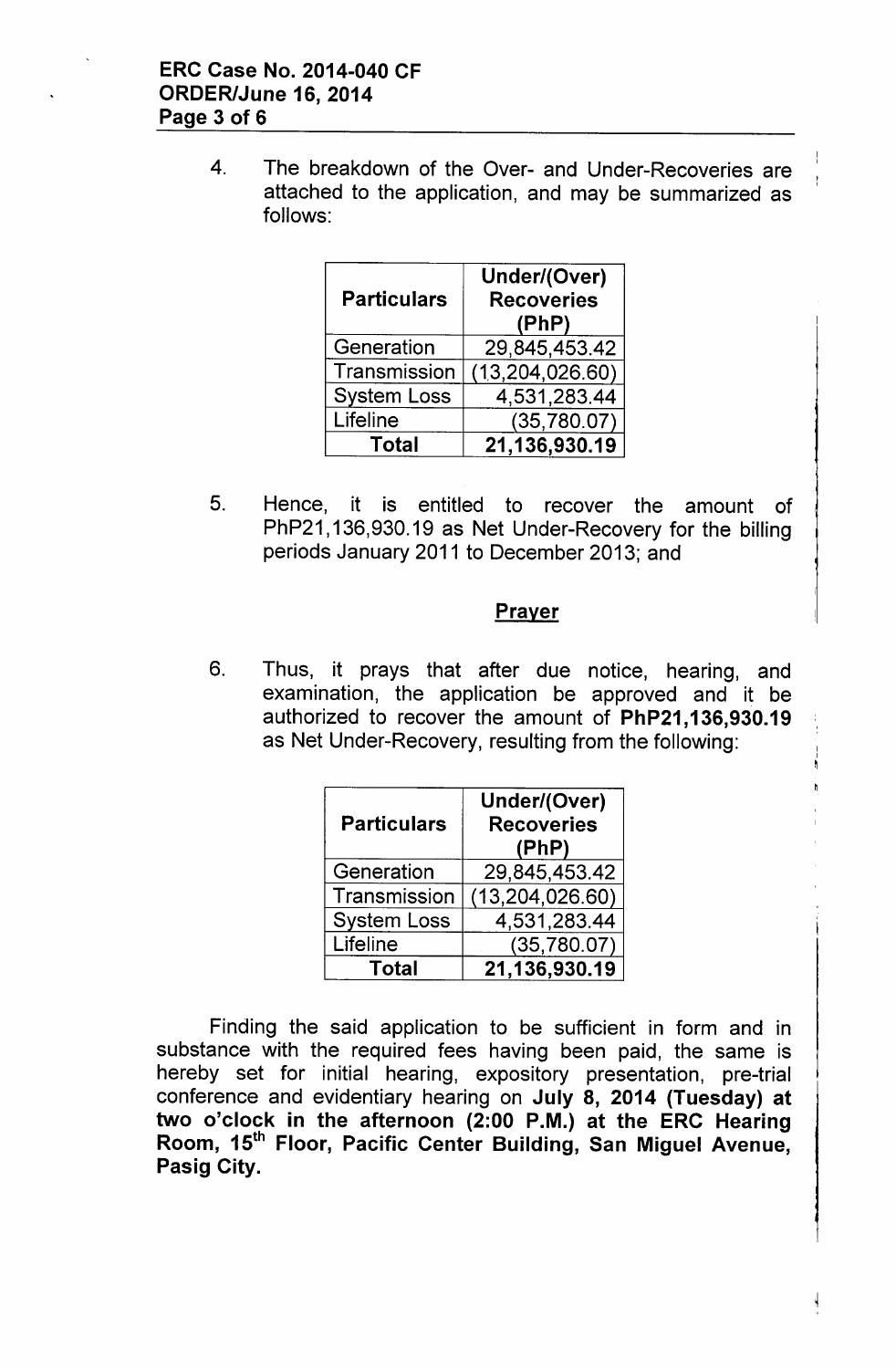4. The breakdown of the Over- and Under-Recoveries are attached to the application, and may be summarized as follows:

| <b>Particulars</b> | Under/(Over)<br><b>Recoveries</b><br>(PhP) |
|--------------------|--------------------------------------------|
| Generation         | 29,845,453.42                              |
| Transmission       | (13,204,026.60)                            |
| <b>System Loss</b> | 4,531,283.44                               |
| Lifeline           | (35,780.07)                                |
| Total              | 21,136,930.19                              |

5. Hence, it is entitled to recover the amount of PhP21,136,930.19 as Net Under-Recovery for the billing periods January 2011 to December 2013; and

## **Prayer**

6. Thus, it prays that after due notice, hearing, and examination, the application be approved and it be authorized to recover the amount of PhP21, 136,930.19 as Net Under-Recovery, resulting from the following:

| <b>Particulars</b> | Under/(Over)<br><b>Recoveries</b><br>(PhP) |
|--------------------|--------------------------------------------|
| Generation         | 29,845,453.42                              |
| Transmission       | (13, 204, 026.60)                          |
| <b>System Loss</b> | 4,531,283.44                               |
| Lifeline           | (35,780.07)                                |
| Total              | 21,136,930.19                              |

Finding the said application to be sufficient in form and in substance with the required fees having been paid, the same is hereby set for initial hearing, expository presentation, pre-trial conference and evidentiary hearing on July 8, 2014 (Tuesday) at two o'clock in the afternoon (2:00 P.M.) at the ERC Hearing Room, 15<sup>th</sup> Floor, Pacific Center Building, San Miguel Avenue, Pasig City.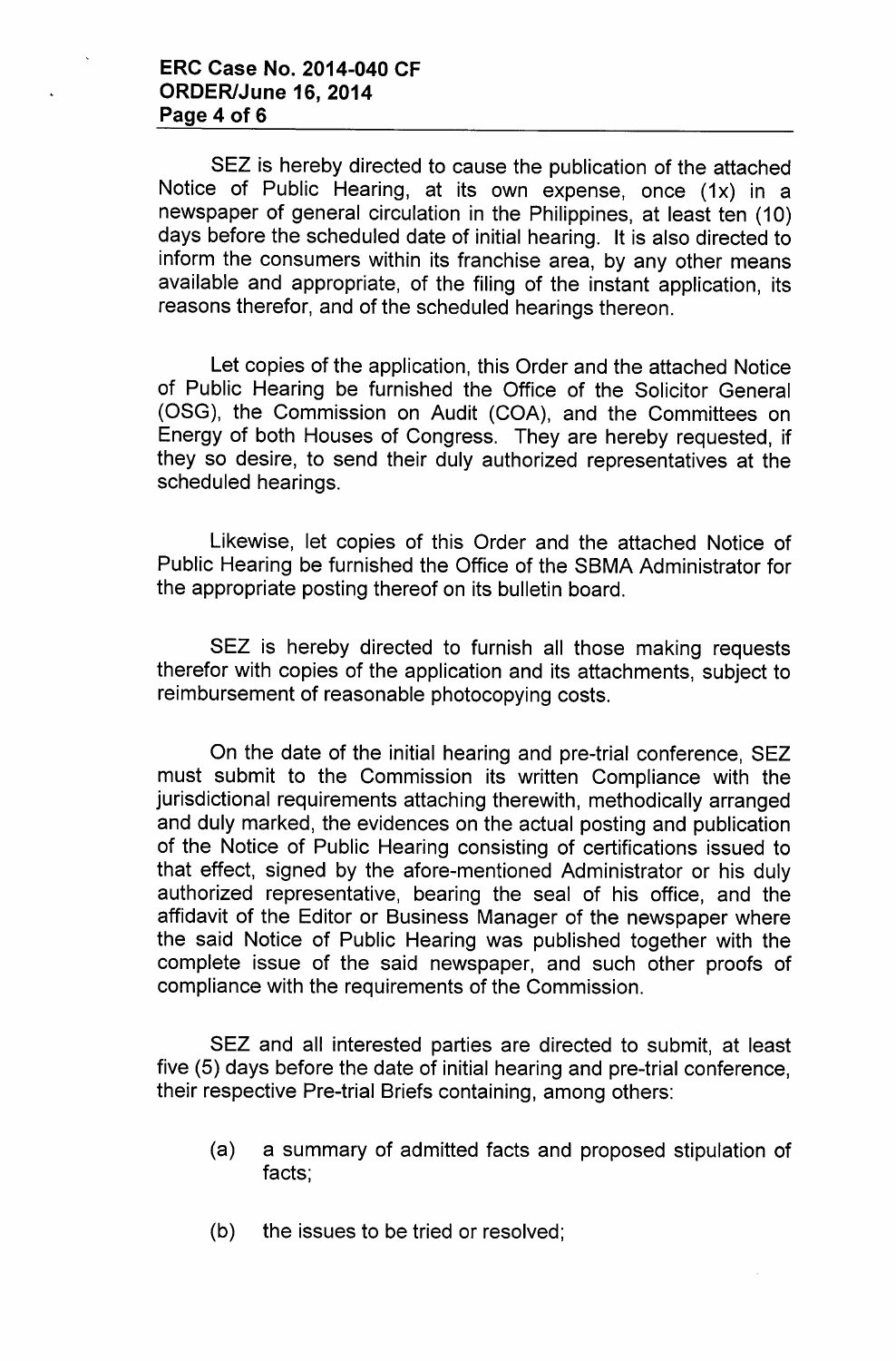SEZ is hereby directed to cause the publication of the attached Notice of Public Hearing, at its own expense, once (1x) in a newspaper of general circulation in the Philippines, at least ten (10) days before the scheduled date of initial hearing. It is also directed to inform the consumers within its franchise area, by any other means available and appropriate, of the filing of the instant application, its reasons therefor, and of the scheduled hearings thereon.

Let copies of the application, this Order and the attached Notice of Public Hearing be furnished the Office of the Solicitor General (OSG), the Commission on Audit (COA), and the Committees on Energy of both Houses of Congress. They are hereby requested, if they so desire, to send their duly authorized representatives at the scheduled hearings.

Likewise, let copies of this Order and the attached Notice of Public Hearing be furnished the Office of the SBMA Administrator for the appropriate posting thereof on its bulletin board.

SEZ is hereby directed to furnish all those making requests therefor with copies of the application and its attachments, subject to reimbursement of reasonable photocopying costs.

On the date of the initial hearing and pre-trial conference, SEZ must submit to the Commission its written Compliance with the jurisdictional requirements attaching therewith, methodically arranged and duly marked, the evidences on the actual posting and publication of the Notice of Public Hearing consisting of certifications issued to that effect, signed by the afore-mentioned Administrator or his duly authorized representative, bearing the seal of his office, and the affidavit of the Editor or Business Manager of the newspaper where the said Notice of Public Hearing was published together with the complete issue of the said newspaper, and such other proofs of compliance with the requirements of the Commission.

SEZ and all interested parties are directed to submit, at least five (5) days before the date of initial hearing and pre-trial conference, their respective Pre-trial Briefs containing, among others:

- (a) a summary of admitted facts and proposed stipulation of facts;
- (b) the issues to be tried or resolved;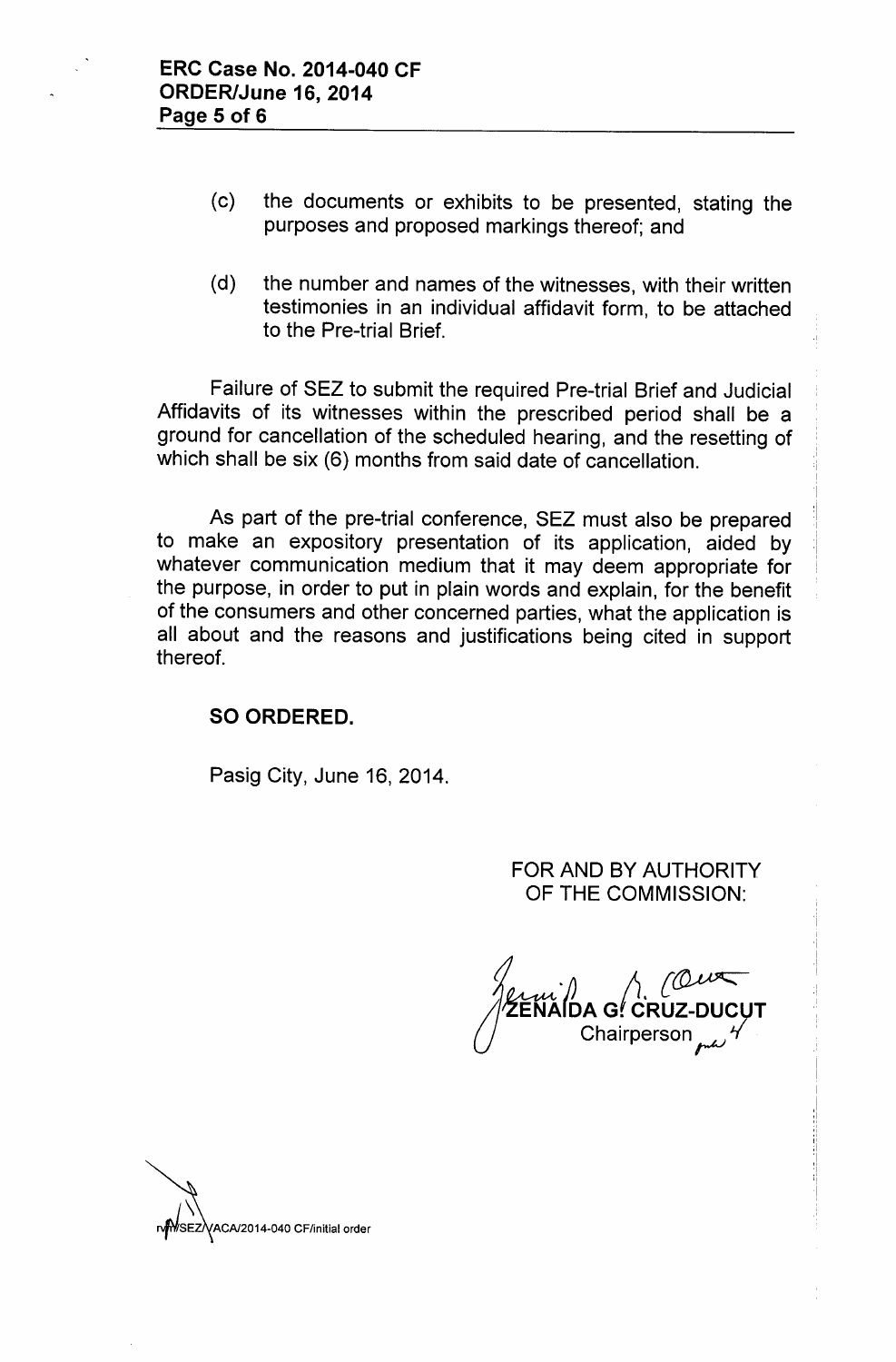- (c) the documents or exhibits to be presented, stating the purposes and proposed markings thereof; and
- (d) the number and names of the witnesses, with their written testimonies in an individual affidavit form, to be attached to the Pre-trial Brief.

Failure of SEZ to submit the required Pre-trial Brief and Judicial Affidavits of its witnesses within the prescribed period shall be a ground for cancellation of the scheduled hearing, and the resetting of which shall be six (6) months from said date of cancellation.

As part of the pre-trial conference, SEZ must also be prepared to make an expository presentation of its application, aided by whatever communication medium that it may deem appropriate for the purpose, in order to put in plain words and explain, for the benefit of the consumers and other concerned parties, what the application is all about and the reasons and justifications being cited in support thereof.

## SO ORDERED.

Pasig City, June 16, 2014.

FOR AND BY AUTHORITY OF THE COMMISSION:

*of) A {~* DA G<sup>*!*</sup> CRUZ-Chairperson ~ *t(*

SEZVACA/2014-040 CF/initial order